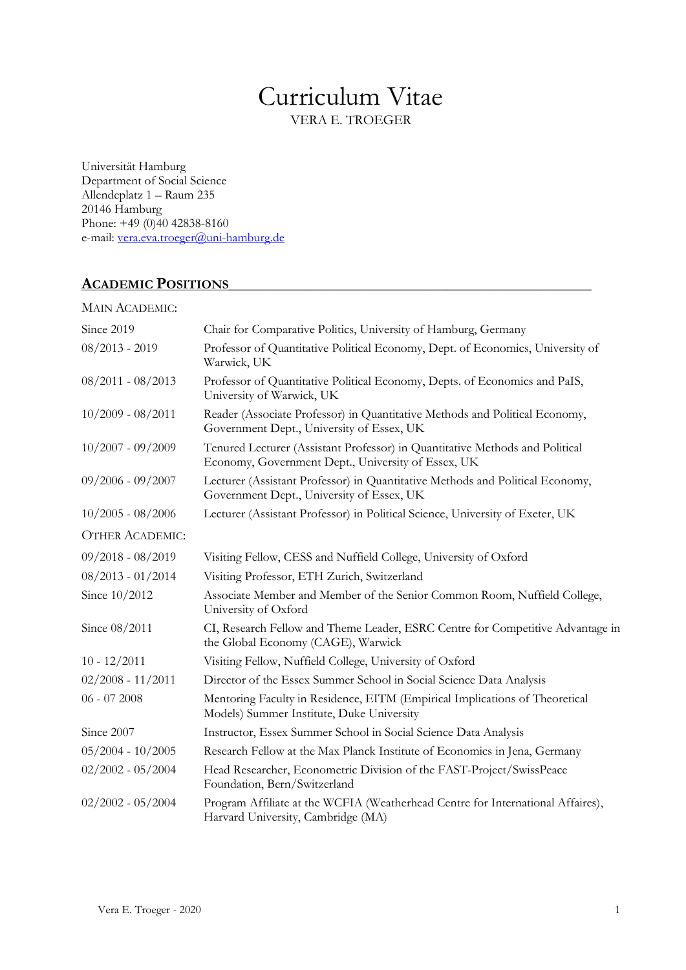# Curriculum Vitae

VERA E. TROEGER

Universität Hamburg Department of Social Science Allendeplatz 1 – Raum 235 20146 Hamburg Phone: +49 (0)40 42838-8160 e-mail: vera.eva.troeger@uni-hamburg.de

# ACADEMIC POSITIONS

| <b>MAIN ACADEMIC:</b>  |                                                                                                                                    |
|------------------------|------------------------------------------------------------------------------------------------------------------------------------|
| Since 2019             | Chair for Comparative Politics, University of Hamburg, Germany                                                                     |
| $08/2013 - 2019$       | Professor of Quantitative Political Economy, Dept. of Economics, University of<br>Warwick, UK                                      |
| $08/2011 - 08/2013$    | Professor of Quantitative Political Economy, Depts. of Economics and PaIS,<br>University of Warwick, UK                            |
| $10/2009 - 08/2011$    | Reader (Associate Professor) in Quantitative Methods and Political Economy,<br>Government Dept., University of Essex, UK           |
| $10/2007 - 09/2009$    | Tenured Lecturer (Assistant Professor) in Quantitative Methods and Political<br>Economy, Government Dept., University of Essex, UK |
| $09/2006 - 09/2007$    | Lecturer (Assistant Professor) in Quantitative Methods and Political Economy,<br>Government Dept., University of Essex, UK         |
| $10/2005 - 08/2006$    | Lecturer (Assistant Professor) in Political Science, University of Exeter, UK                                                      |
| <b>OTHER ACADEMIC:</b> |                                                                                                                                    |
| $09/2018 - 08/2019$    | Visiting Fellow, CESS and Nuffield College, University of Oxford                                                                   |
| $08/2013 - 01/2014$    | Visiting Professor, ETH Zurich, Switzerland                                                                                        |
| Since 10/2012          | Associate Member and Member of the Senior Common Room, Nuffield College,<br>University of Oxford                                   |
| Since 08/2011          | CI, Research Fellow and Theme Leader, ESRC Centre for Competitive Advantage in<br>the Global Economy (CAGE), Warwick               |
| $10 - 12/2011$         | Visiting Fellow, Nuffield College, University of Oxford                                                                            |
| $02/2008 - 11/2011$    | Director of the Essex Summer School in Social Science Data Analysis                                                                |
| $06 - 072008$          | Mentoring Faculty in Residence, EITM (Empirical Implications of Theoretical<br>Models) Summer Institute, Duke University           |
| Since 2007             | Instructor, Essex Summer School in Social Science Data Analysis                                                                    |
| $05/2004 - 10/2005$    | Research Fellow at the Max Planck Institute of Economics in Jena, Germany                                                          |
| $02/2002 - 05/2004$    | Head Researcher, Econometric Division of the FAST-Project/SwissPeace<br>Foundation, Bern/Switzerland                               |
| $02/2002 - 05/2004$    | Program Affiliate at the WCFIA (Weatherhead Centre for International Affaires),<br>Harvard University, Cambridge (MA)              |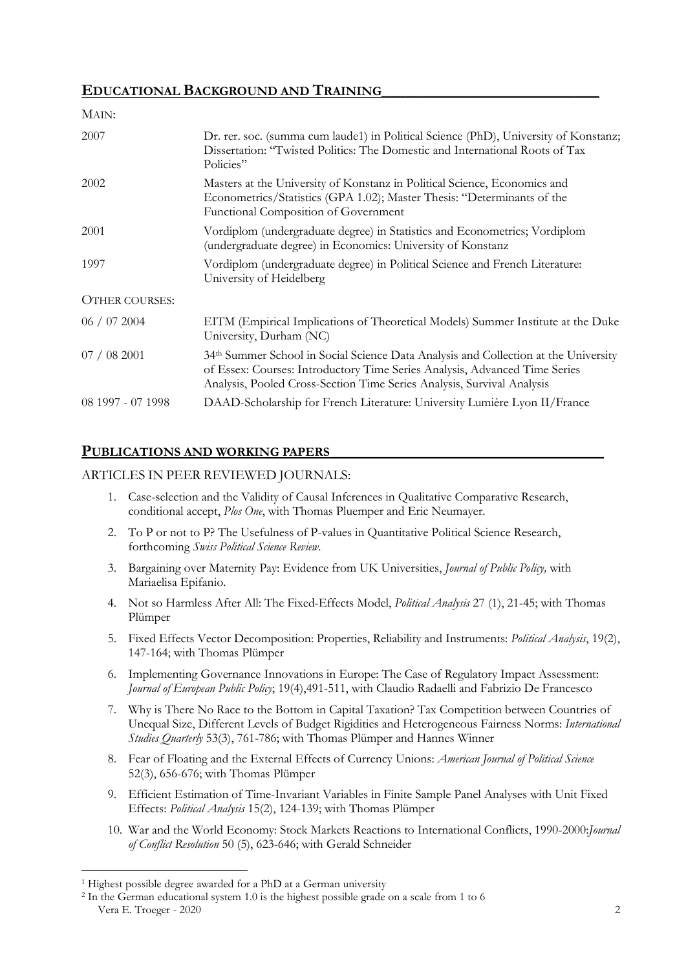# EDUCATIONAL BACKGROUND AND TRAINING

| MAIN:                 |                                                                                                                                                                                                                                             |
|-----------------------|---------------------------------------------------------------------------------------------------------------------------------------------------------------------------------------------------------------------------------------------|
| 2007                  | Dr. rer. soc. (summa cum laude1) in Political Science (PhD), University of Konstanz;<br>Dissertation: "Twisted Politics: The Domestic and International Roots of Tax<br>Policies"                                                           |
| 2002                  | Masters at the University of Konstanz in Political Science, Economics and<br>Econometrics/Statistics (GPA 1.02); Master Thesis: "Determinants of the<br>Functional Composition of Government                                                |
| 2001                  | Vordiplom (undergraduate degree) in Statistics and Econometrics; Vordiplom<br>(undergraduate degree) in Economics: University of Konstanz                                                                                                   |
| 1997                  | Vordiplom (undergraduate degree) in Political Science and French Literature:<br>University of Heidelberg                                                                                                                                    |
| <b>OTHER COURSES:</b> |                                                                                                                                                                                                                                             |
| 06 / 07 2004          | EITM (Empirical Implications of Theoretical Models) Summer Institute at the Duke<br>University, Durham (NC)                                                                                                                                 |
| 07/082001             | 34th Summer School in Social Science Data Analysis and Collection at the University<br>of Essex: Courses: Introductory Time Series Analysis, Advanced Time Series<br>Analysis, Pooled Cross-Section Time Series Analysis, Survival Analysis |
| 08 1997 - 07 1998     | DAAD-Scholarship for French Literature: University Lumière Lyon II/France                                                                                                                                                                   |
|                       |                                                                                                                                                                                                                                             |

# PUBLICATIONS AND WORKING PAPERS

#### ARTICLES IN PEER REVIEWED JOURNALS:

- 1. Case-selection and the Validity of Causal Inferences in Qualitative Comparative Research, conditional accept, Plos One, with Thomas Pluemper and Eric Neumayer.
- 2. To P or not to P? The Usefulness of P-values in Quantitative Political Science Research, forthcoming Swiss Political Science Review.
- 3. Bargaining over Maternity Pay: Evidence from UK Universities, *Journal of Public Policy*, with Mariaelisa Epifanio.
- 4. Not so Harmless After All: The Fixed-Effects Model, *Political Analysis* 27 (1), 21-45; with Thomas Plümper
- 5. Fixed Effects Vector Decomposition: Properties, Reliability and Instruments: Political Analysis, 19(2), 147-164; with Thomas Plümper
- 6. Implementing Governance Innovations in Europe: The Case of Regulatory Impact Assessment: Journal of European Public Policy; 19(4),491-511, with Claudio Radaelli and Fabrizio De Francesco
- 7. Why is There No Race to the Bottom in Capital Taxation? Tax Competition between Countries of Unequal Size, Different Levels of Budget Rigidities and Heterogeneous Fairness Norms: International Studies Quarterly 53(3), 761-786; with Thomas Plümper and Hannes Winner
- 8. Fear of Floating and the External Effects of Currency Unions: American Journal of Political Science 52(3), 656-676; with Thomas Plümper
- 9. Efficient Estimation of Time-Invariant Variables in Finite Sample Panel Analyses with Unit Fixed Effects: Political Analysis 15(2), 124-139; with Thomas Plümper
- 10. War and the World Economy: Stock Markets Reactions to International Conflicts, 1990-2000:Journal of Conflict Resolution 50 (5), 623-646; with Gerald Schneider

 $\overline{a}$ <sup>1</sup> Highest possible degree awarded for a PhD at a German university

Vera E. Troeger - 2020 2 2 In the German educational system 1.0 is the highest possible grade on a scale from 1 to 6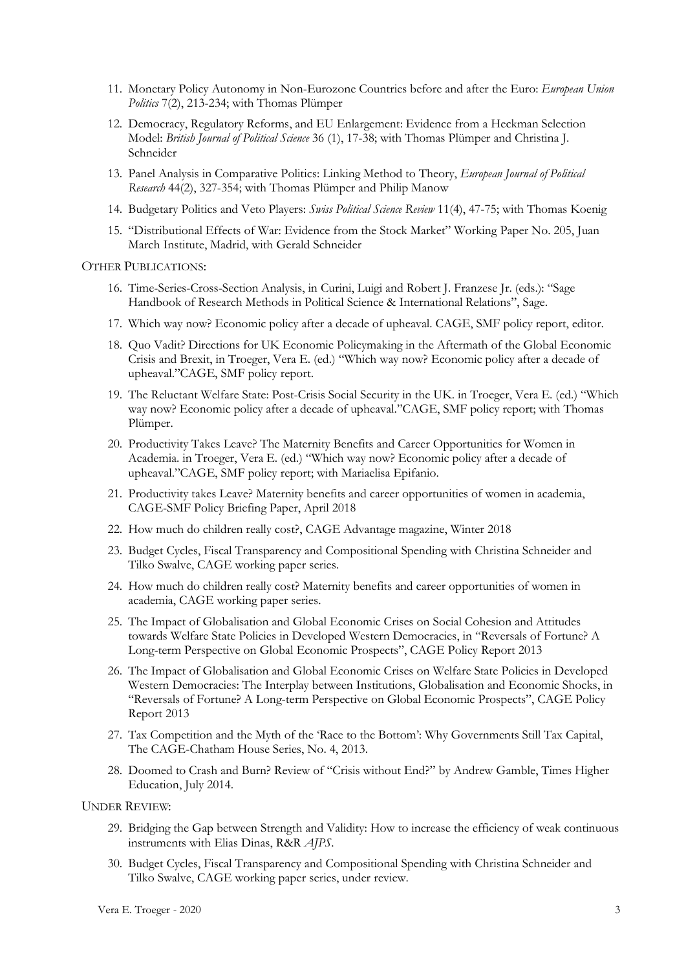- 11. Monetary Policy Autonomy in Non-Eurozone Countries before and after the Euro: European Union Politics 7(2), 213-234; with Thomas Plümper
- 12. Democracy, Regulatory Reforms, and EU Enlargement: Evidence from a Heckman Selection Model: British Journal of Political Science 36 (1), 17-38; with Thomas Plümper and Christina J. Schneider
- 13. Panel Analysis in Comparative Politics: Linking Method to Theory, European Journal of Political Research 44(2), 327-354; with Thomas Plümper and Philip Manow
- 14. Budgetary Politics and Veto Players: Swiss Political Science Review 11(4), 47-75; with Thomas Koenig
- 15. "Distributional Effects of War: Evidence from the Stock Market" Working Paper No. 205, Juan March Institute, Madrid, with Gerald Schneider

OTHER PUBLICATIONS:

- 16. Time-Series-Cross-Section Analysis, in Curini, Luigi and Robert J. Franzese Jr. (eds.): "Sage Handbook of Research Methods in Political Science & International Relations", Sage.
- 17. Which way now? Economic policy after a decade of upheaval. CAGE, SMF policy report, editor.
- 18. Quo Vadit? Directions for UK Economic Policymaking in the Aftermath of the Global Economic Crisis and Brexit, in Troeger, Vera E. (ed.) "Which way now? Economic policy after a decade of upheaval."CAGE, SMF policy report.
- 19. The Reluctant Welfare State: Post-Crisis Social Security in the UK. in Troeger, Vera E. (ed.) "Which way now? Economic policy after a decade of upheaval."CAGE, SMF policy report; with Thomas Plümper.
- 20. Productivity Takes Leave? The Maternity Benefits and Career Opportunities for Women in Academia. in Troeger, Vera E. (ed.) "Which way now? Economic policy after a decade of upheaval."CAGE, SMF policy report; with Mariaelisa Epifanio.
- 21. Productivity takes Leave? Maternity benefits and career opportunities of women in academia, CAGE-SMF Policy Briefing Paper, April 2018
- 22. How much do children really cost?, CAGE Advantage magazine, Winter 2018
- 23. Budget Cycles, Fiscal Transparency and Compositional Spending with Christina Schneider and Tilko Swalve, CAGE working paper series.
- 24. How much do children really cost? Maternity benefits and career opportunities of women in academia, CAGE working paper series.
- 25. The Impact of Globalisation and Global Economic Crises on Social Cohesion and Attitudes towards Welfare State Policies in Developed Western Democracies, in "Reversals of Fortune? A Long-term Perspective on Global Economic Prospects", CAGE Policy Report 2013
- 26. The Impact of Globalisation and Global Economic Crises on Welfare State Policies in Developed Western Democracies: The Interplay between Institutions, Globalisation and Economic Shocks, in "Reversals of Fortune? A Long-term Perspective on Global Economic Prospects", CAGE Policy Report 2013
- 27. Tax Competition and the Myth of the 'Race to the Bottom': Why Governments Still Tax Capital, The CAGE-Chatham House Series, No. 4, 2013.
- 28. Doomed to Crash and Burn? Review of "Crisis without End?" by Andrew Gamble, Times Higher Education, July 2014.

UNDER REVIEW:

- 29. Bridging the Gap between Strength and Validity: How to increase the efficiency of weak continuous instruments with Elias Dinas, R&R AJPS.
- 30. Budget Cycles, Fiscal Transparency and Compositional Spending with Christina Schneider and Tilko Swalve, CAGE working paper series, under review.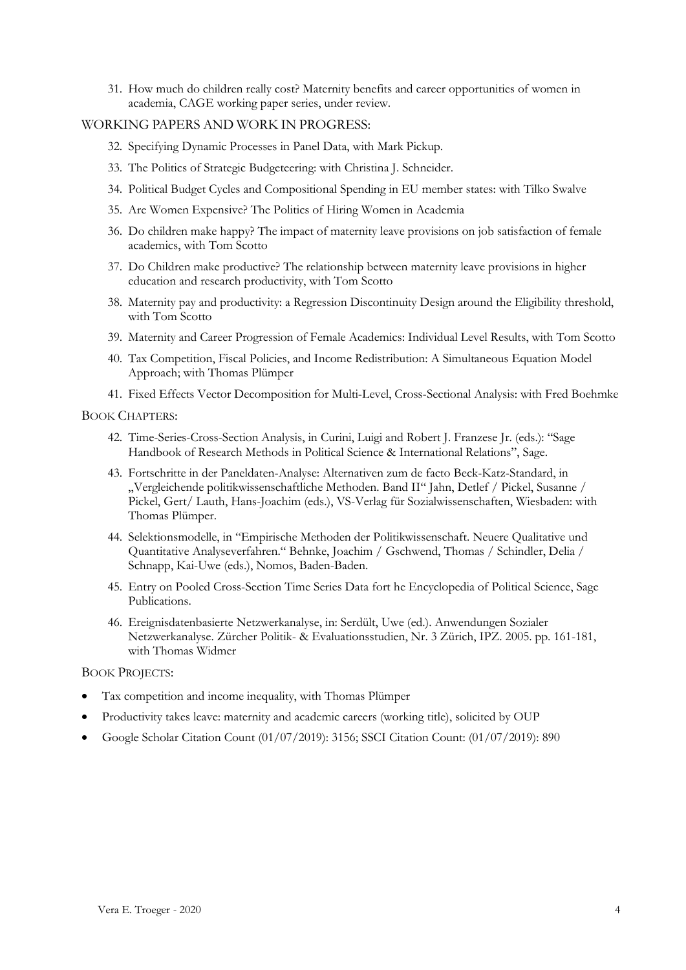31. How much do children really cost? Maternity benefits and career opportunities of women in academia, CAGE working paper series, under review.

#### WORKING PAPERS AND WORK IN PROGRESS:

- 32. Specifying Dynamic Processes in Panel Data, with Mark Pickup.
- 33. The Politics of Strategic Budgeteering: with Christina J. Schneider.
- 34. Political Budget Cycles and Compositional Spending in EU member states: with Tilko Swalve
- 35. Are Women Expensive? The Politics of Hiring Women in Academia
- 36. Do children make happy? The impact of maternity leave provisions on job satisfaction of female academics, with Tom Scotto
- 37. Do Children make productive? The relationship between maternity leave provisions in higher education and research productivity, with Tom Scotto
- 38. Maternity pay and productivity: a Regression Discontinuity Design around the Eligibility threshold, with Tom Scotto
- 39. Maternity and Career Progression of Female Academics: Individual Level Results, with Tom Scotto
- 40. Tax Competition, Fiscal Policies, and Income Redistribution: A Simultaneous Equation Model Approach; with Thomas Plümper
- 41. Fixed Effects Vector Decomposition for Multi-Level, Cross-Sectional Analysis: with Fred Boehmke

#### BOOK CHAPTERS:

- 42. Time-Series-Cross-Section Analysis, in Curini, Luigi and Robert J. Franzese Jr. (eds.): "Sage Handbook of Research Methods in Political Science & International Relations", Sage.
- 43. Fortschritte in der Paneldaten-Analyse: Alternativen zum de facto Beck-Katz-Standard, in "Vergleichende politikwissenschaftliche Methoden. Band II" Jahn, Detlef / Pickel, Susanne / Pickel, Gert/ Lauth, Hans-Joachim (eds.), VS-Verlag für Sozialwissenschaften, Wiesbaden: with Thomas Plümper.
- 44. Selektionsmodelle, in "Empirische Methoden der Politikwissenschaft. Neuere Qualitative und Quantitative Analyseverfahren." Behnke, Joachim / Gschwend, Thomas / Schindler, Delia / Schnapp, Kai-Uwe (eds.), Nomos, Baden-Baden.
- 45. Entry on Pooled Cross-Section Time Series Data fort he Encyclopedia of Political Science, Sage Publications.
- 46. Ereignisdatenbasierte Netzwerkanalyse, in: Serdült, Uwe (ed.). Anwendungen Sozialer Netzwerkanalyse. Zürcher Politik- & Evaluationsstudien, Nr. 3 Zürich, IPZ. 2005. pp. 161-181, with Thomas Widmer

#### BOOK PROJECTS:

- Tax competition and income inequality, with Thomas Plümper
- Productivity takes leave: maternity and academic careers (working title), solicited by OUP
- Google Scholar Citation Count (01/07/2019): 3156; SSCI Citation Count: (01/07/2019): 890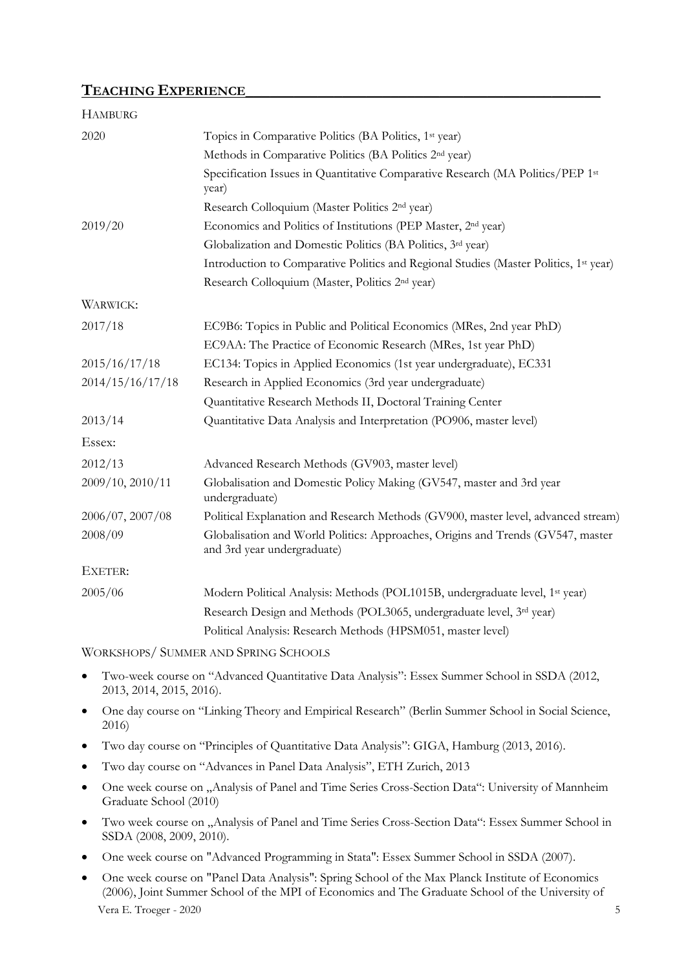# TEACHING EXPERIENCE

| <b>HAMBURG</b>   |                                                                                                                |
|------------------|----------------------------------------------------------------------------------------------------------------|
| 2020             | Topics in Comparative Politics (BA Politics, 1 <sup>st</sup> year)                                             |
|                  | Methods in Comparative Politics (BA Politics 2 <sup>nd</sup> year)                                             |
|                  | Specification Issues in Quantitative Comparative Research (MA Politics/PEP 1st<br>year)                        |
|                  | Research Colloquium (Master Politics 2 <sup>nd</sup> year)                                                     |
| 2019/20          | Economics and Politics of Institutions (PEP Master, 2 <sup>nd</sup> year)                                      |
|                  | Globalization and Domestic Politics (BA Politics, 3rd year)                                                    |
|                  | Introduction to Comparative Politics and Regional Studies (Master Politics, 1st year)                          |
|                  | Research Colloquium (Master, Politics 2 <sup>nd</sup> year)                                                    |
| <b>WARWICK:</b>  |                                                                                                                |
| 2017/18          | EC9B6: Topics in Public and Political Economics (MRes, 2nd year PhD)                                           |
|                  | EC9AA: The Practice of Economic Research (MRes, 1st year PhD)                                                  |
| 2015/16/17/18    | EC134: Topics in Applied Economics (1st year undergraduate), EC331                                             |
| 2014/15/16/17/18 | Research in Applied Economics (3rd year undergraduate)                                                         |
|                  | Quantitative Research Methods II, Doctoral Training Center                                                     |
| 2013/14          | Quantitative Data Analysis and Interpretation (PO906, master level)                                            |
| Essex:           |                                                                                                                |
| 2012/13          | Advanced Research Methods (GV903, master level)                                                                |
| 2009/10, 2010/11 | Globalisation and Domestic Policy Making (GV547, master and 3rd year<br>undergraduate)                         |
| 2006/07, 2007/08 | Political Explanation and Research Methods (GV900, master level, advanced stream)                              |
| 2008/09          | Globalisation and World Politics: Approaches, Origins and Trends (GV547, master<br>and 3rd year undergraduate) |
| EXETER:          |                                                                                                                |
| 2005/06          | Modern Political Analysis: Methods (POL1015B, undergraduate level, 1st year)                                   |
|                  | Research Design and Methods (POL3065, undergraduate level, 3rd year)                                           |
|                  | Political Analysis: Research Methods (HPSM051, master level)                                                   |
|                  |                                                                                                                |

WORKSHOPS/ SUMMER AND SPRING SCHOOLS

- Two-week course on "Advanced Quantitative Data Analysis": Essex Summer School in SSDA (2012, 2013, 2014, 2015, 2016).
- One day course on "Linking Theory and Empirical Research" (Berlin Summer School in Social Science, 2016)
- Two day course on "Principles of Quantitative Data Analysis": GIGA, Hamburg (2013, 2016).
- Two day course on "Advances in Panel Data Analysis", ETH Zurich, 2013
- One week course on "Analysis of Panel and Time Series Cross-Section Data": University of Mannheim Graduate School (2010)
- Two week course on "Analysis of Panel and Time Series Cross-Section Data": Essex Summer School in SSDA (2008, 2009, 2010).
- One week course on "Advanced Programming in Stata": Essex Summer School in SSDA (2007).
- Vera E. Troeger 2020 5 One week course on "Panel Data Analysis": Spring School of the Max Planck Institute of Economics (2006), Joint Summer School of the MPI of Economics and The Graduate School of the University of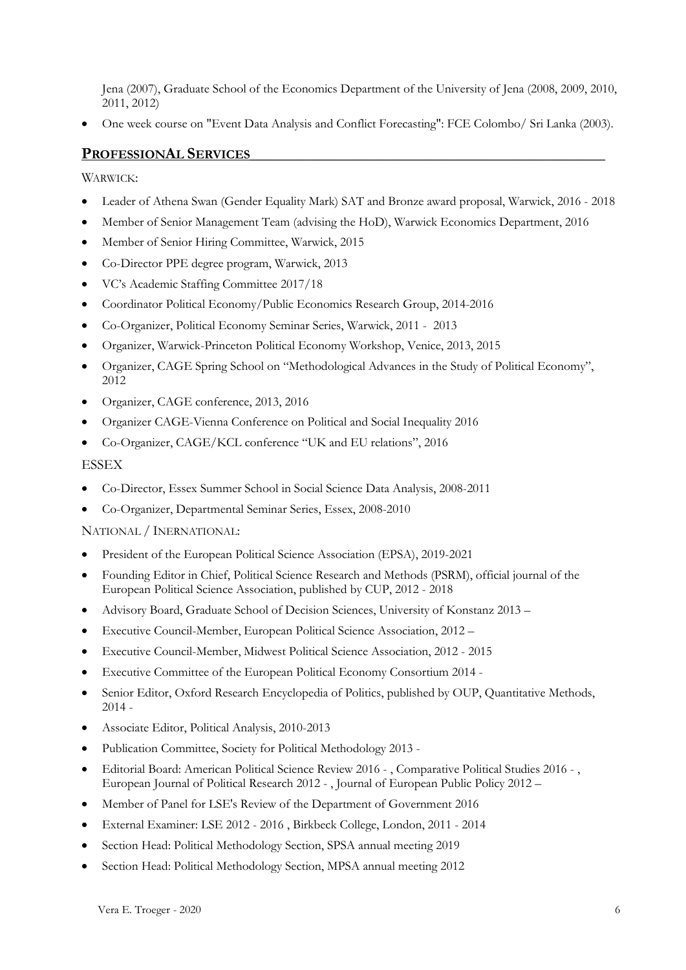Jena (2007), Graduate School of the Economics Department of the University of Jena (2008, 2009, 2010, 2011, 2012)

One week course on "Event Data Analysis and Conflict Forecasting": FCE Colombo/ Sri Lanka (2003).

## PROFESSIONAL SERVICES

WARWICK:

- Leader of Athena Swan (Gender Equality Mark) SAT and Bronze award proposal, Warwick, 2016 2018
- Member of Senior Management Team (advising the HoD), Warwick Economics Department, 2016
- Member of Senior Hiring Committee, Warwick, 2015
- Co-Director PPE degree program, Warwick, 2013
- VC's Academic Staffing Committee 2017/18
- Coordinator Political Economy/Public Economics Research Group, 2014-2016
- Co-Organizer, Political Economy Seminar Series, Warwick, 2011 2013
- Organizer, Warwick-Princeton Political Economy Workshop, Venice, 2013, 2015
- Organizer, CAGE Spring School on "Methodological Advances in the Study of Political Economy", 2012
- Organizer, CAGE conference, 2013, 2016
- Organizer CAGE-Vienna Conference on Political and Social Inequality 2016
- Co-Organizer, CAGE/KCL conference "UK and EU relations", 2016

#### ESSEX

- Co-Director, Essex Summer School in Social Science Data Analysis, 2008-2011
- Co-Organizer, Departmental Seminar Series, Essex, 2008-2010

#### NATIONAL / INERNATIONAL:

- President of the European Political Science Association (EPSA), 2019-2021
- Founding Editor in Chief, Political Science Research and Methods (PSRM), official journal of the European Political Science Association, published by CUP, 2012 - 2018
- Advisory Board, Graduate School of Decision Sciences, University of Konstanz 2013 –
- Executive Council-Member, European Political Science Association, 2012 –
- Executive Council-Member, Midwest Political Science Association, 2012 2015
- Executive Committee of the European Political Economy Consortium 2014 -
- Senior Editor, Oxford Research Encyclopedia of Politics, published by OUP, Quantitative Methods, 2014 -
- Associate Editor, Political Analysis, 2010-2013
- Publication Committee, Society for Political Methodology 2013 -
- Editorial Board: American Political Science Review 2016 , Comparative Political Studies 2016 , European Journal of Political Research 2012 - , Journal of European Public Policy 2012 –
- Member of Panel for LSE's Review of the Department of Government 2016
- External Examiner: LSE 2012 2016 , Birkbeck College, London, 2011 2014
- Section Head: Political Methodology Section, SPSA annual meeting 2019
- Section Head: Political Methodology Section, MPSA annual meeting 2012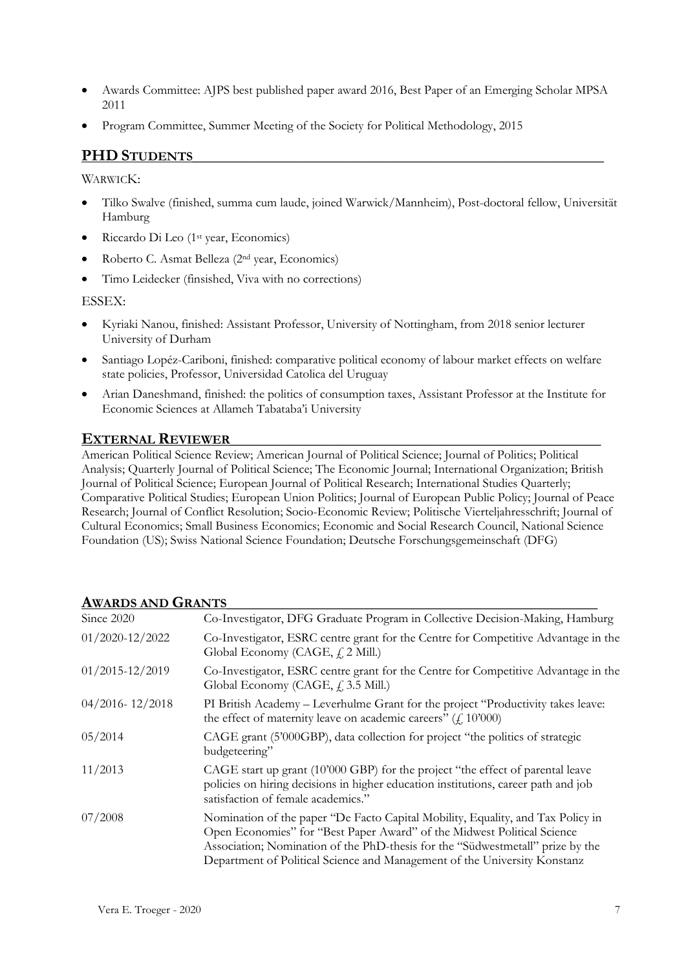- Awards Committee: AJPS best published paper award 2016, Best Paper of an Emerging Scholar MPSA 2011
- Program Committee, Summer Meeting of the Society for Political Methodology, 2015

# PHD STUDENTS

#### WARWICK:

- Tilko Swalve (finished, summa cum laude, joined Warwick/Mannheim), Post-doctoral fellow, Universität Hamburg
- Riccardo Di Leo (1<sup>st</sup> year, Economics)
- Roberto C. Asmat Belleza (2nd year, Economics)
- Timo Leidecker (finsished, Viva with no corrections)

#### ESSEX:

- Kyriaki Nanou, finished: Assistant Professor, University of Nottingham, from 2018 senior lecturer University of Durham
- Santiago Lopéz-Cariboni, finished: comparative political economy of labour market effects on welfare state policies, Professor, Universidad Catolica del Uruguay
- Arian Daneshmand, finished: the politics of consumption taxes, Assistant Professor at the Institute for Economic Sciences at Allameh Tabataba'i University

# EXTERNAL REVIEWER

American Political Science Review; American Journal of Political Science; Journal of Politics; Political Analysis; Quarterly Journal of Political Science; The Economic Journal; International Organization; British Journal of Political Science; European Journal of Political Research; International Studies Quarterly; Comparative Political Studies; European Union Politics; Journal of European Public Policy; Journal of Peace Research; Journal of Conflict Resolution; Socio-Economic Review; Politische Vierteljahresschrift; Journal of Cultural Economics; Small Business Economics; Economic and Social Research Council, National Science Foundation (US); Swiss National Science Foundation; Deutsche Forschungsgemeinschaft (DFG)

| TIWANDJ AIND UNAIN IJ |                                                                                                                                                                                                                                                                                                                           |
|-----------------------|---------------------------------------------------------------------------------------------------------------------------------------------------------------------------------------------------------------------------------------------------------------------------------------------------------------------------|
| Since 2020            | Co-Investigator, DFG Graduate Program in Collective Decision-Making, Hamburg                                                                                                                                                                                                                                              |
| $01/2020 - 12/2022$   | Co-Investigator, ESRC centre grant for the Centre for Competitive Advantage in the<br>Global Economy (CAGE, $f$ , 2 Mill.)                                                                                                                                                                                                |
| $01/2015 - 12/2019$   | Co-Investigator, ESRC centre grant for the Centre for Competitive Advantage in the<br>Global Economy (CAGE, $f$ , 3.5 Mill.)                                                                                                                                                                                              |
| $04/2016 - 12/2018$   | PI British Academy - Leverhulme Grant for the project "Productivity takes leave:<br>the effect of maternity leave on academic careers" $(f. 10'000)$                                                                                                                                                                      |
| 05/2014               | CAGE grant (5'000GBP), data collection for project "the politics of strategic<br>budgeteering"                                                                                                                                                                                                                            |
| 11/2013               | CAGE start up grant (10'000 GBP) for the project "the effect of parental leave<br>policies on hiring decisions in higher education institutions, career path and job<br>satisfaction of female academics."                                                                                                                |
| 07/2008               | Nomination of the paper "De Facto Capital Mobility, Equality, and Tax Policy in<br>Open Economies" for "Best Paper Award" of the Midwest Political Science<br>Association; Nomination of the PhD-thesis for the "Südwestmetall" prize by the<br>Department of Political Science and Management of the University Konstanz |
|                       |                                                                                                                                                                                                                                                                                                                           |

#### AWARDS AND CRANTS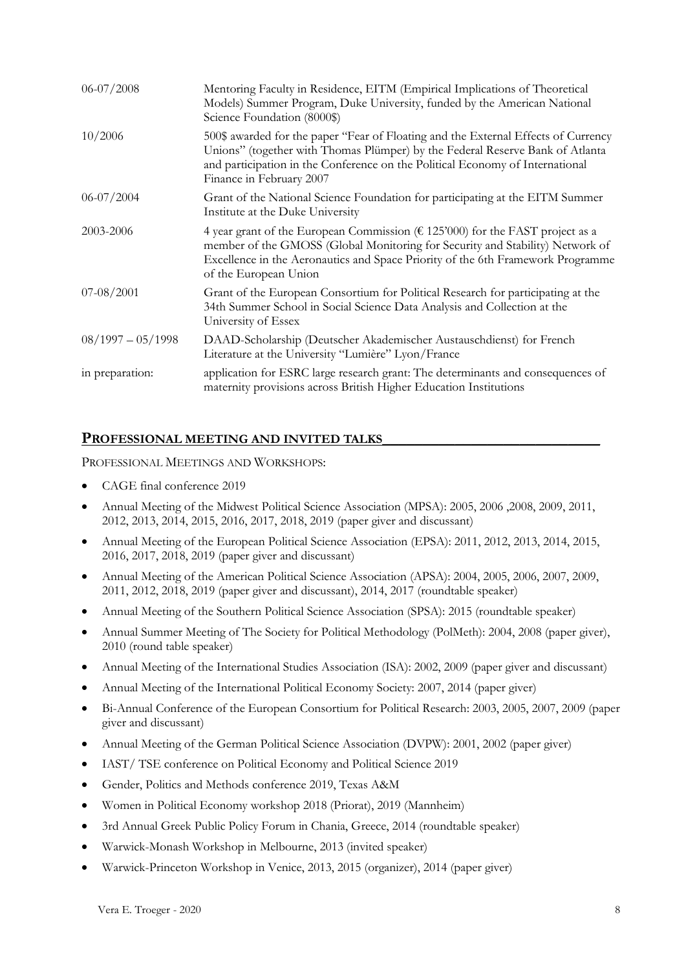| $06 - 07 / 2008$    | Mentoring Faculty in Residence, EITM (Empirical Implications of Theoretical<br>Models) Summer Program, Duke University, funded by the American National<br>Science Foundation (8000\$)                                                                                               |
|---------------------|--------------------------------------------------------------------------------------------------------------------------------------------------------------------------------------------------------------------------------------------------------------------------------------|
| 10/2006             | 500\$ awarded for the paper "Fear of Floating and the External Effects of Currency<br>Unions" (together with Thomas Plümper) by the Federal Reserve Bank of Atlanta<br>and participation in the Conference on the Political Economy of International<br>Finance in February 2007     |
| $06 - 07 / 2004$    | Grant of the National Science Foundation for participating at the EITM Summer<br>Institute at the Duke University                                                                                                                                                                    |
| 2003-2006           | 4 year grant of the European Commission ( $\epsilon$ 125'000) for the FAST project as a<br>member of the GMOSS (Global Monitoring for Security and Stability) Network of<br>Excellence in the Aeronautics and Space Priority of the 6th Framework Programme<br>of the European Union |
| $07 - 08 / 2001$    | Grant of the European Consortium for Political Research for participating at the<br>34th Summer School in Social Science Data Analysis and Collection at the<br>University of Essex                                                                                                  |
| $08/1997 - 05/1998$ | DAAD-Scholarship (Deutscher Akademischer Austauschdienst) for French<br>Literature at the University "Lumière" Lyon/France                                                                                                                                                           |
| in preparation:     | application for ESRC large research grant: The determinants and consequences of<br>maternity provisions across British Higher Education Institutions                                                                                                                                 |

# PROFESSIONAL MEETING AND INVITED TALKS

PROFESSIONAL MEETINGS AND WORKSHOPS:

- CAGE final conference 2019
- Annual Meeting of the Midwest Political Science Association (MPSA): 2005, 2006 ,2008, 2009, 2011, 2012, 2013, 2014, 2015, 2016, 2017, 2018, 2019 (paper giver and discussant)
- Annual Meeting of the European Political Science Association (EPSA): 2011, 2012, 2013, 2014, 2015, 2016, 2017, 2018, 2019 (paper giver and discussant)
- Annual Meeting of the American Political Science Association (APSA): 2004, 2005, 2006, 2007, 2009, 2011, 2012, 2018, 2019 (paper giver and discussant), 2014, 2017 (roundtable speaker)
- Annual Meeting of the Southern Political Science Association (SPSA): 2015 (roundtable speaker)
- Annual Summer Meeting of The Society for Political Methodology (PolMeth): 2004, 2008 (paper giver), 2010 (round table speaker)
- Annual Meeting of the International Studies Association (ISA): 2002, 2009 (paper giver and discussant)
- Annual Meeting of the International Political Economy Society: 2007, 2014 (paper giver)
- Bi-Annual Conference of the European Consortium for Political Research: 2003, 2005, 2007, 2009 (paper giver and discussant)
- Annual Meeting of the German Political Science Association (DVPW): 2001, 2002 (paper giver)
- IAST/ TSE conference on Political Economy and Political Science 2019
- Gender, Politics and Methods conference 2019, Texas A&M
- Women in Political Economy workshop 2018 (Priorat), 2019 (Mannheim)
- 3rd Annual Greek Public Policy Forum in Chania, Greece, 2014 (roundtable speaker)
- Warwick-Monash Workshop in Melbourne, 2013 (invited speaker)
- Warwick-Princeton Workshop in Venice, 2013, 2015 (organizer), 2014 (paper giver)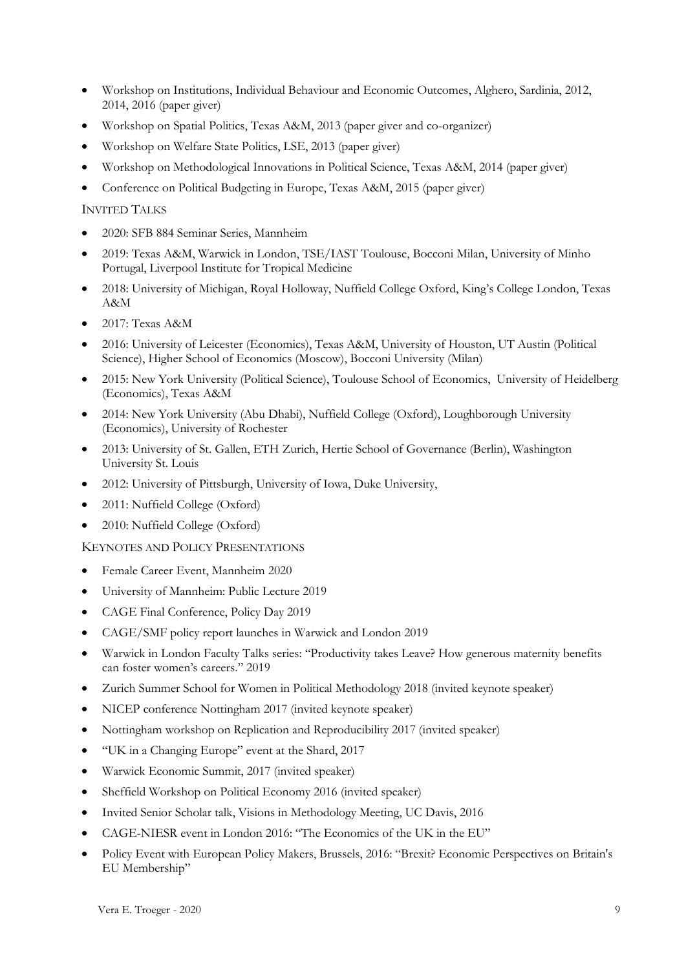- Workshop on Institutions, Individual Behaviour and Economic Outcomes, Alghero, Sardinia, 2012, 2014, 2016 (paper giver)
- Workshop on Spatial Politics, Texas A&M, 2013 (paper giver and co-organizer)
- Workshop on Welfare State Politics, LSE, 2013 (paper giver)
- Workshop on Methodological Innovations in Political Science, Texas A&M, 2014 (paper giver)
- Conference on Political Budgeting in Europe, Texas A&M, 2015 (paper giver)

#### INVITED TALKS

- 2020: SFB 884 Seminar Series, Mannheim
- 2019: Texas A&M, Warwick in London, TSE/IAST Toulouse, Bocconi Milan, University of Minho Portugal, Liverpool Institute for Tropical Medicine
- 2018: University of Michigan, Royal Holloway, Nuffield College Oxford, King's College London, Texas A&M
- 2017: Texas A&M
- 2016: University of Leicester (Economics), Texas A&M, University of Houston, UT Austin (Political Science), Higher School of Economics (Moscow), Bocconi University (Milan)
- 2015: New York University (Political Science), Toulouse School of Economics, University of Heidelberg (Economics), Texas A&M
- 2014: New York University (Abu Dhabi), Nuffield College (Oxford), Loughborough University (Economics), University of Rochester
- 2013: University of St. Gallen, ETH Zurich, Hertie School of Governance (Berlin), Washington University St. Louis
- 2012: University of Pittsburgh, University of Iowa, Duke University,
- 2011: Nuffield College (Oxford)
- 2010: Nuffield College (Oxford)

KEYNOTES AND POLICY PRESENTATIONS

- Female Career Event, Mannheim 2020
- University of Mannheim: Public Lecture 2019
- CAGE Final Conference, Policy Day 2019
- CAGE/SMF policy report launches in Warwick and London 2019
- Warwick in London Faculty Talks series: "Productivity takes Leave? How generous maternity benefits can foster women's careers." 2019
- Zurich Summer School for Women in Political Methodology 2018 (invited keynote speaker)
- NICEP conference Nottingham 2017 (invited keynote speaker)
- Nottingham workshop on Replication and Reproducibility 2017 (invited speaker)
- "UK in a Changing Europe" event at the Shard, 2017
- Warwick Economic Summit, 2017 (invited speaker)
- Sheffield Workshop on Political Economy 2016 (invited speaker)
- Invited Senior Scholar talk, Visions in Methodology Meeting, UC Davis, 2016
- CAGE-NIESR event in London 2016: "The Economics of the UK in the EU"
- Policy Event with European Policy Makers, Brussels, 2016: "Brexit? Economic Perspectives on Britain's EU Membership"